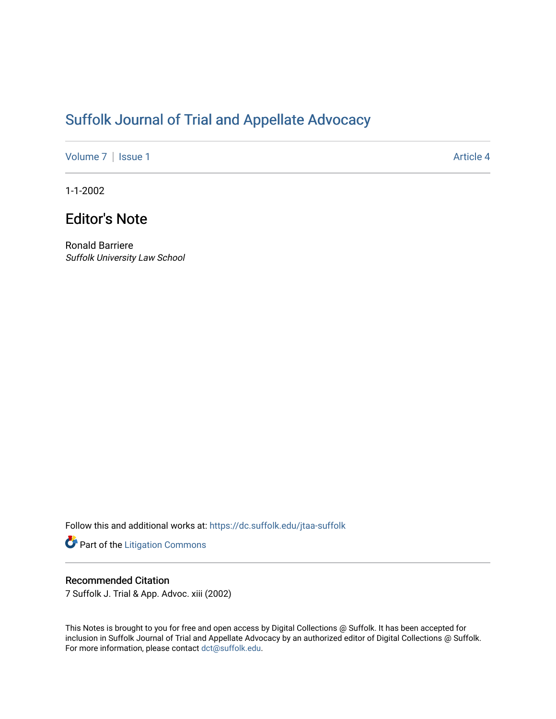## [Suffolk Journal of Trial and Appellate Advocacy](https://dc.suffolk.edu/jtaa-suffolk)

[Volume 7](https://dc.suffolk.edu/jtaa-suffolk/vol7) | [Issue 1](https://dc.suffolk.edu/jtaa-suffolk/vol7/iss1) Article 4

1-1-2002

## Editor's Note

Ronald Barriere Suffolk University Law School

Follow this and additional works at: [https://dc.suffolk.edu/jtaa-suffolk](https://dc.suffolk.edu/jtaa-suffolk?utm_source=dc.suffolk.edu%2Fjtaa-suffolk%2Fvol7%2Fiss1%2F4&utm_medium=PDF&utm_campaign=PDFCoverPages) 

Part of the [Litigation Commons](https://network.bepress.com/hgg/discipline/910?utm_source=dc.suffolk.edu%2Fjtaa-suffolk%2Fvol7%2Fiss1%2F4&utm_medium=PDF&utm_campaign=PDFCoverPages)

## Recommended Citation

7 Suffolk J. Trial & App. Advoc. xiii (2002)

This Notes is brought to you for free and open access by Digital Collections @ Suffolk. It has been accepted for inclusion in Suffolk Journal of Trial and Appellate Advocacy by an authorized editor of Digital Collections @ Suffolk. For more information, please contact [dct@suffolk.edu](mailto:dct@suffolk.edu).